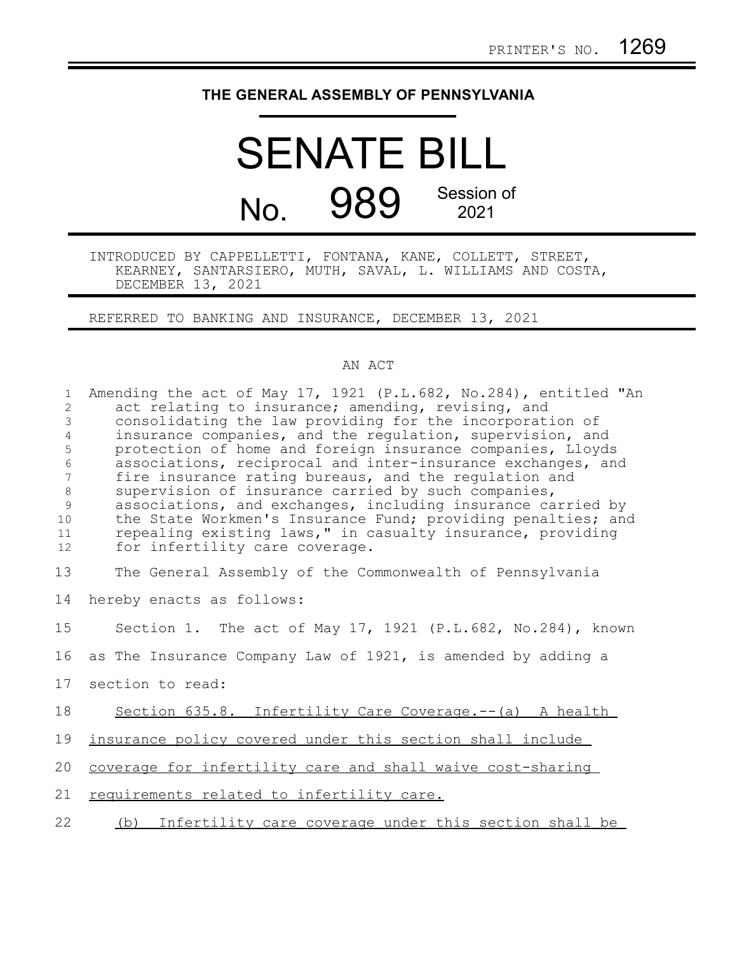## **THE GENERAL ASSEMBLY OF PENNSYLVANIA**

## SENATE BILL No. 989 Session of 2021

INTRODUCED BY CAPPELLETTI, FONTANA, KANE, COLLETT, STREET, KEARNEY, SANTARSIERO, MUTH, SAVAL, L. WILLIAMS AND COSTA, DECEMBER 13, 2021

REFERRED TO BANKING AND INSURANCE, DECEMBER 13, 2021

## AN ACT

| $\mathbf{1}$<br>2<br>$\mathfrak{Z}$<br>$\overline{4}$<br>5<br>6<br>$7\phantom{.0}$<br>$\,8\,$<br>$\mathcal{G}$<br>10<br>11<br>12 | Amending the act of May 17, 1921 (P.L.682, No.284), entitled "An<br>act relating to insurance; amending, revising, and<br>consolidating the law providing for the incorporation of<br>insurance companies, and the requlation, supervision, and<br>protection of home and foreign insurance companies, Lloyds<br>associations, reciprocal and inter-insurance exchanges, and<br>fire insurance rating bureaus, and the regulation and<br>supervision of insurance carried by such companies,<br>associations, and exchanges, including insurance carried by<br>the State Workmen's Insurance Fund; providing penalties; and<br>repealing existing laws," in casualty insurance, providing<br>for infertility care coverage. |
|----------------------------------------------------------------------------------------------------------------------------------|-----------------------------------------------------------------------------------------------------------------------------------------------------------------------------------------------------------------------------------------------------------------------------------------------------------------------------------------------------------------------------------------------------------------------------------------------------------------------------------------------------------------------------------------------------------------------------------------------------------------------------------------------------------------------------------------------------------------------------|
| 13                                                                                                                               | The General Assembly of the Commonwealth of Pennsylvania                                                                                                                                                                                                                                                                                                                                                                                                                                                                                                                                                                                                                                                                    |
| 14                                                                                                                               | hereby enacts as follows:                                                                                                                                                                                                                                                                                                                                                                                                                                                                                                                                                                                                                                                                                                   |
| 15                                                                                                                               | Section 1. The act of May 17, 1921 (P.L.682, No.284), known                                                                                                                                                                                                                                                                                                                                                                                                                                                                                                                                                                                                                                                                 |
| 16                                                                                                                               | as The Insurance Company Law of 1921, is amended by adding a                                                                                                                                                                                                                                                                                                                                                                                                                                                                                                                                                                                                                                                                |
| 17                                                                                                                               | section to read:                                                                                                                                                                                                                                                                                                                                                                                                                                                                                                                                                                                                                                                                                                            |
| 18                                                                                                                               | Section 635.8. Infertility Care Coverage.-- (a) A health                                                                                                                                                                                                                                                                                                                                                                                                                                                                                                                                                                                                                                                                    |
| 19                                                                                                                               | insurance policy covered under this section shall include                                                                                                                                                                                                                                                                                                                                                                                                                                                                                                                                                                                                                                                                   |
| 20                                                                                                                               | coverage for infertility care and shall waive cost-sharing                                                                                                                                                                                                                                                                                                                                                                                                                                                                                                                                                                                                                                                                  |
| 21                                                                                                                               | requirements related to infertility care.                                                                                                                                                                                                                                                                                                                                                                                                                                                                                                                                                                                                                                                                                   |
| 22                                                                                                                               | (b) Infertility care coverage under this section shall be                                                                                                                                                                                                                                                                                                                                                                                                                                                                                                                                                                                                                                                                   |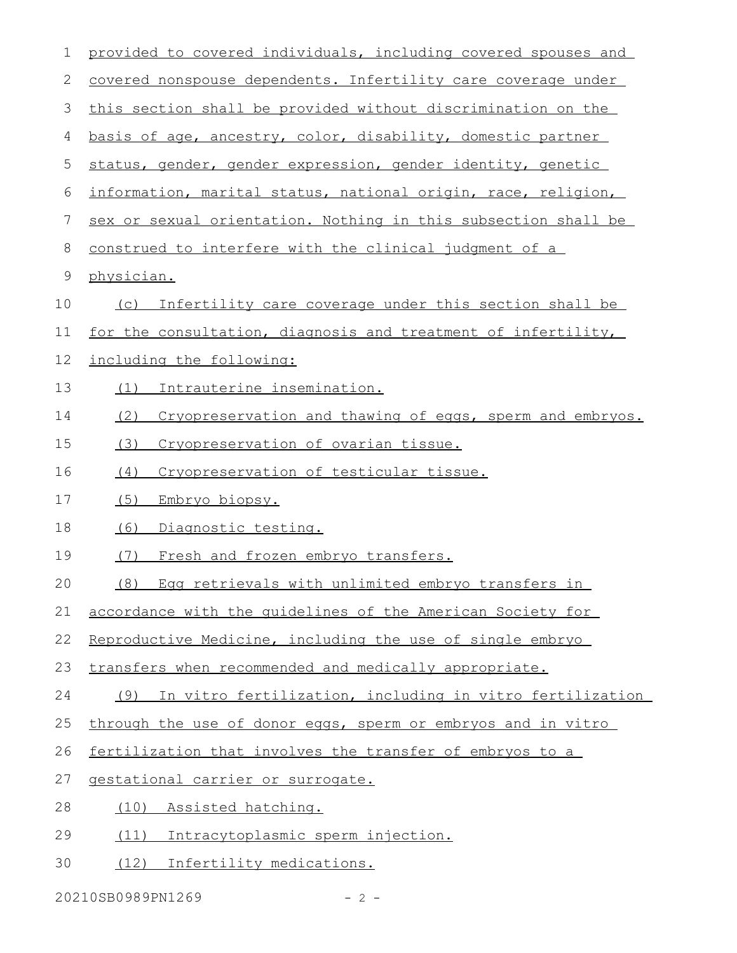| 1  | provided to covered individuals, including covered spouses and  |  |  |  |  |  |  |  |
|----|-----------------------------------------------------------------|--|--|--|--|--|--|--|
| 2  | covered nonspouse dependents. Infertility care coverage under   |  |  |  |  |  |  |  |
| 3  | this section shall be provided without discrimination on the    |  |  |  |  |  |  |  |
| 4  | basis of age, ancestry, color, disability, domestic partner     |  |  |  |  |  |  |  |
| 5  | status, gender, gender expression, gender identity, genetic     |  |  |  |  |  |  |  |
| 6  | information, marital status, national origin, race, religion,   |  |  |  |  |  |  |  |
| 7  | sex or sexual orientation. Nothing in this subsection shall be  |  |  |  |  |  |  |  |
| 8  | construed to interfere with the clinical judgment of a          |  |  |  |  |  |  |  |
| 9  | physician.                                                      |  |  |  |  |  |  |  |
| 10 | Infertility care coverage under this section shall be<br>(C)    |  |  |  |  |  |  |  |
| 11 | for the consultation, diagnosis and treatment of infertility,   |  |  |  |  |  |  |  |
| 12 | including the following:                                        |  |  |  |  |  |  |  |
| 13 | Intrauterine insemination.<br>(1)                               |  |  |  |  |  |  |  |
| 14 | (2)<br>Cryopreservation and thawing of eggs, sperm and embryos. |  |  |  |  |  |  |  |
| 15 | Cryopreservation of ovarian tissue.<br>(3)                      |  |  |  |  |  |  |  |
| 16 | Cryopreservation of testicular tissue.<br>(4)                   |  |  |  |  |  |  |  |
| 17 | (5)<br>Embryo biopsy.                                           |  |  |  |  |  |  |  |
| 18 | (6)<br>Diagnostic testing.                                      |  |  |  |  |  |  |  |
| 19 | Fresh and frozen embryo transfers.<br>(7)                       |  |  |  |  |  |  |  |
| 20 | Egg retrievals with unlimited embryo transfers in<br>(8)        |  |  |  |  |  |  |  |
| 21 | accordance with the quidelines of the American Society for      |  |  |  |  |  |  |  |
| 22 | Reproductive Medicine, including the use of single embryo       |  |  |  |  |  |  |  |
| 23 | transfers when recommended and medically appropriate.           |  |  |  |  |  |  |  |
| 24 | In vitro fertilization, including in vitro fertilization<br>(9) |  |  |  |  |  |  |  |
| 25 | through the use of donor eggs, sperm or embryos and in vitro    |  |  |  |  |  |  |  |
| 26 | fertilization that involves the transfer of embryos to a        |  |  |  |  |  |  |  |
| 27 | gestational carrier or surrogate.                               |  |  |  |  |  |  |  |
| 28 | Assisted hatching.<br>(10)                                      |  |  |  |  |  |  |  |
| 29 | Intracytoplasmic sperm injection.<br>(11)                       |  |  |  |  |  |  |  |
| 30 | (12)<br>Infertility medications.                                |  |  |  |  |  |  |  |
|    |                                                                 |  |  |  |  |  |  |  |

20210SB0989PN1269 - 2 -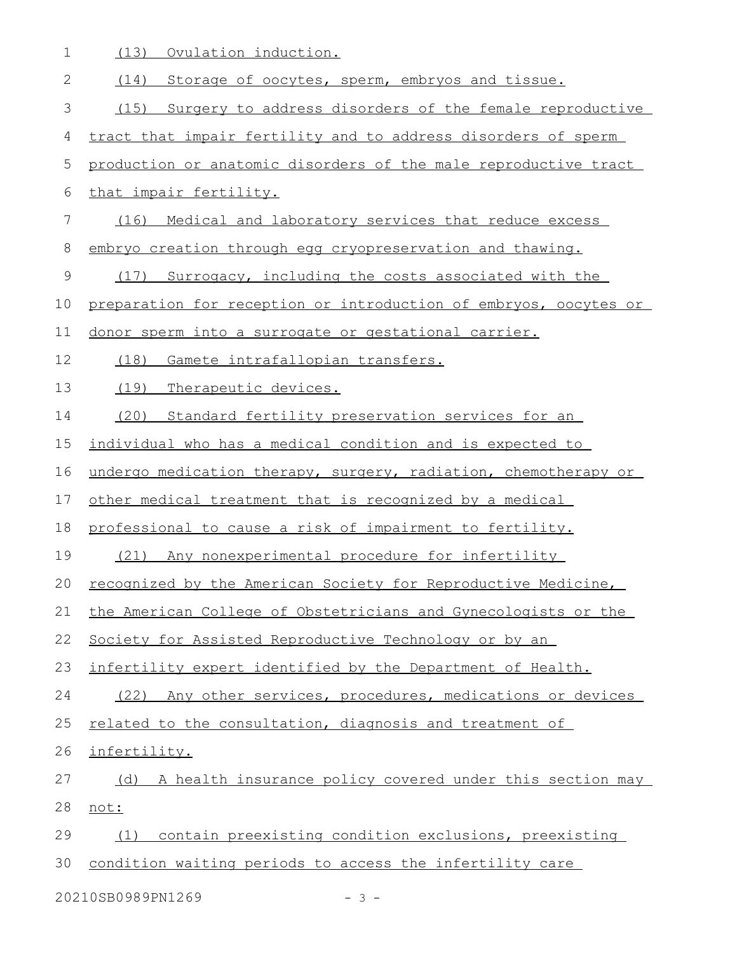1 (13) Ovulation induction.

| $\mathbf{2}$   | Storage of oocytes, sperm, embryos and tissue.<br>(14)           |  |  |  |  |  |  |  |
|----------------|------------------------------------------------------------------|--|--|--|--|--|--|--|
| 3              | Surgery to address disorders of the female reproductive<br>(15)  |  |  |  |  |  |  |  |
| $\overline{4}$ | tract that impair fertility and to address disorders of sperm    |  |  |  |  |  |  |  |
| 5              | production or anatomic disorders of the male reproductive tract  |  |  |  |  |  |  |  |
| 6              | that impair fertility.                                           |  |  |  |  |  |  |  |
| 7              | (16) Medical and laboratory services that reduce excess          |  |  |  |  |  |  |  |
| 8              | embryo creation through egg cryopreservation and thawing.        |  |  |  |  |  |  |  |
| $\mathcal{G}$  | Surrogacy, including the costs associated with the<br>(17)       |  |  |  |  |  |  |  |
| 10             | preparation for reception or introduction of embryos, oocytes or |  |  |  |  |  |  |  |
| 11             | donor sperm into a surrogate or gestational carrier.             |  |  |  |  |  |  |  |
| 12             | (18)<br>Gamete intrafallopian transfers.                         |  |  |  |  |  |  |  |
| 13             | (19)<br>Therapeutic devices.                                     |  |  |  |  |  |  |  |
| 14             | (20)<br>Standard fertility preservation services for an          |  |  |  |  |  |  |  |
| 15             | individual who has a medical condition and is expected to        |  |  |  |  |  |  |  |
| 16             | undergo medication therapy, surgery, radiation, chemotherapy or  |  |  |  |  |  |  |  |
| 17             | other medical treatment that is recognized by a medical          |  |  |  |  |  |  |  |
| 18             | professional to cause a risk of impairment to fertility.         |  |  |  |  |  |  |  |
| 19             | (21) Any nonexperimental procedure for infertility               |  |  |  |  |  |  |  |
| 20             | recognized by the American Society for Reproductive Medicine,    |  |  |  |  |  |  |  |
| 21             | the American College of Obstetricians and Gynecologists or the   |  |  |  |  |  |  |  |
| 22             | Society for Assisted Reproductive Technology or by an            |  |  |  |  |  |  |  |
| 23             | infertility expert identified by the Department of Health.       |  |  |  |  |  |  |  |
| 24             | (22) Any other services, procedures, medications or devices      |  |  |  |  |  |  |  |
| 25             | related to the consultation, diagnosis and treatment of          |  |  |  |  |  |  |  |
| 26             | infertility.                                                     |  |  |  |  |  |  |  |
| 27             | A health insurance policy covered under this section may<br>(d)  |  |  |  |  |  |  |  |
| 28             | not:                                                             |  |  |  |  |  |  |  |
| 29             | contain preexisting condition exclusions, preexisting<br>(1)     |  |  |  |  |  |  |  |
| 30             | condition waiting periods to access the infertility care         |  |  |  |  |  |  |  |
|                | 20210SB0989PN1269<br>$-3 -$                                      |  |  |  |  |  |  |  |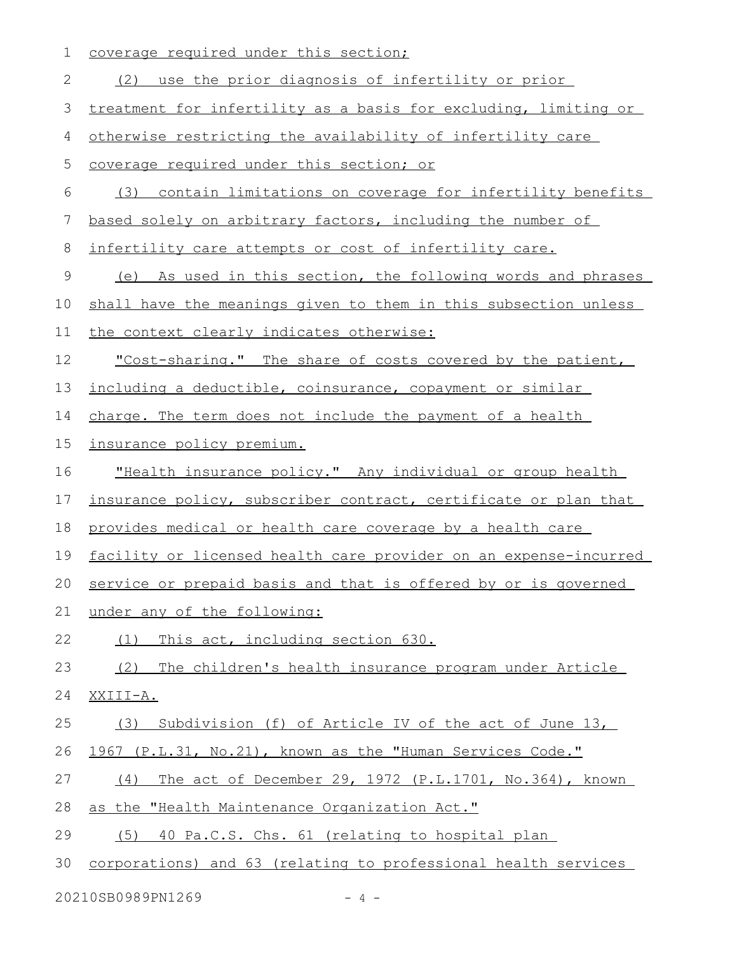| 1  | coverage required under this section;                             |  |  |  |  |  |  |  |
|----|-------------------------------------------------------------------|--|--|--|--|--|--|--|
| 2  | (2) use the prior diagnosis of infertility or prior               |  |  |  |  |  |  |  |
| 3  | treatment for infertility as a basis for excluding, limiting or   |  |  |  |  |  |  |  |
| 4  | otherwise restricting the availability of infertility care        |  |  |  |  |  |  |  |
| 5  | coverage required under this section; or                          |  |  |  |  |  |  |  |
| 6  | (3) contain limitations on coverage for infertility benefits      |  |  |  |  |  |  |  |
| 7  | based solely on arbitrary factors, including the number of        |  |  |  |  |  |  |  |
| 8  | infertility care attempts or cost of infertility care.            |  |  |  |  |  |  |  |
| 9  | As used in this section, the following words and phrases<br>(e)   |  |  |  |  |  |  |  |
| 10 | shall have the meanings given to them in this subsection unless   |  |  |  |  |  |  |  |
| 11 | the context clearly indicates otherwise:                          |  |  |  |  |  |  |  |
| 12 | "Cost-sharing." The share of costs covered by the patient,        |  |  |  |  |  |  |  |
| 13 | including a deductible, coinsurance, copayment or similar         |  |  |  |  |  |  |  |
| 14 | charge. The term does not include the payment of a health         |  |  |  |  |  |  |  |
| 15 | insurance policy premium.                                         |  |  |  |  |  |  |  |
| 16 | "Health insurance policy." Any individual or group health         |  |  |  |  |  |  |  |
| 17 | insurance policy, subscriber contract, certificate or plan that   |  |  |  |  |  |  |  |
| 18 | provides medical or health care coverage by a health care         |  |  |  |  |  |  |  |
| 19 | facility or licensed health care provider on an expense-incurred  |  |  |  |  |  |  |  |
|    | 20 service or prepaid basis and that is offered by or is governed |  |  |  |  |  |  |  |
| 21 | under any of the following:                                       |  |  |  |  |  |  |  |
| 22 | (1) This act, including section 630.                              |  |  |  |  |  |  |  |
| 23 | (2) The children's health insurance program under Article         |  |  |  |  |  |  |  |
| 24 | XXIII-A.                                                          |  |  |  |  |  |  |  |
| 25 | Subdivision (f) of Article IV of the act of June 13,<br>(3)       |  |  |  |  |  |  |  |
| 26 | 1967 (P.L.31, No.21), known as the "Human Services Code."         |  |  |  |  |  |  |  |
| 27 | The act of December 29, 1972 (P.L.1701, No.364), known<br>(4)     |  |  |  |  |  |  |  |
| 28 | as the "Health Maintenance Organization Act."                     |  |  |  |  |  |  |  |
| 29 | (5) 40 Pa.C.S. Chs. 61 (relating to hospital plan                 |  |  |  |  |  |  |  |
| 30 | corporations) and 63 (relating to professional health services    |  |  |  |  |  |  |  |
|    |                                                                   |  |  |  |  |  |  |  |

20210SB0989PN1269 - 4 -